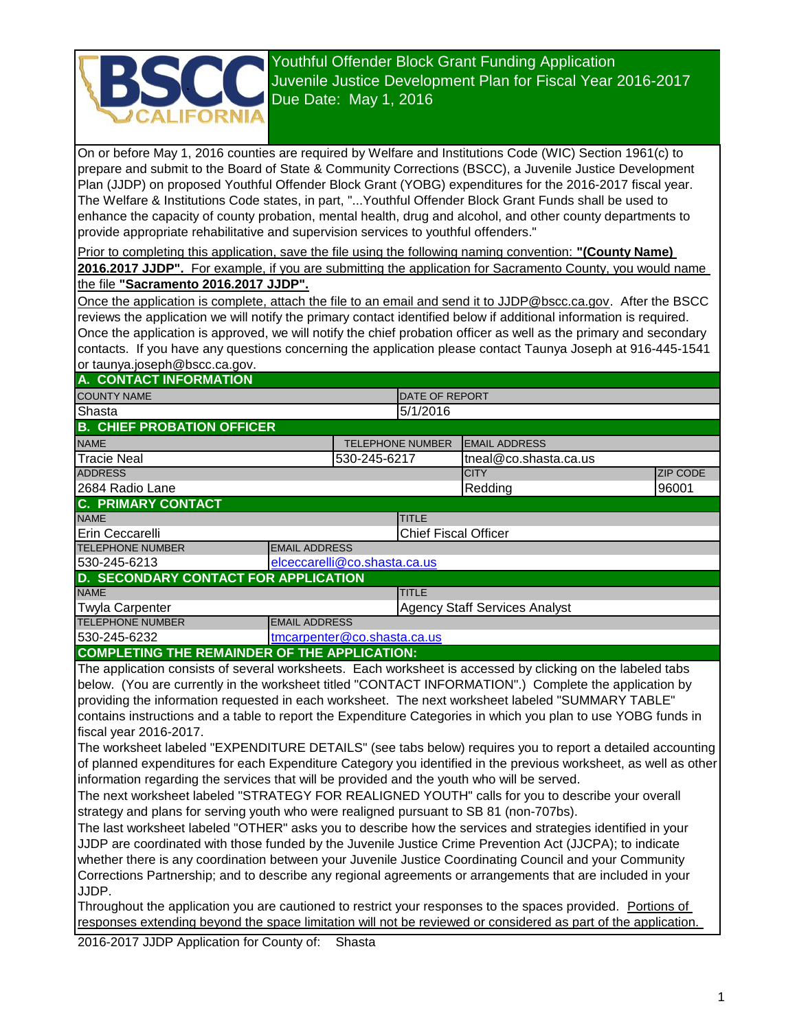

Youthful Offender Block Grant Funding Application Tourniul Offender Block Grant Funding Application<br>Juvenile Justice Development Plan for Fiscal Year 2016-2017 Due Date: May 1, 2016

On or before May 1, 2016 counties are required by Welfare and Institutions Code (WIC) Section 1961(c) to prepare and submit to the Board of State & Community Corrections (BSCC), a Juvenile Justice Development Plan (JJDP) on proposed Youthful Offender Block Grant (YOBG) expenditures for the 2016-2017 fiscal year. The Welfare & Institutions Code states, in part, "...Youthful Offender Block Grant Funds shall be used to enhance the capacity of county probation, mental health, drug and alcohol, and other county departments to provide appropriate rehabilitative and supervision services to youthful offenders."

Prior to completing this application, save the file using the following naming convention: **"(County Name) 2016.2017 JJDP".** For example, if you are submitting the application for Sacramento County, you would name

the file **"Sacramento 2016.2017 JJDP".**

Once the application is complete, attach the file to an email and send it to JJDP@bscc.ca.gov. After the BSCC reviews the application we will notify the primary contact identified below if additional information is required. Once the application is approved, we will notify the chief probation officer as well as the primary and secondary contacts. If you have any questions concerning the application please contact Taunya Joseph at 916-445-1541 or taunya.joseph@bscc.ca.gov.

## **A. CONTACT INFORMATION**

| A. CONTACT INFORMATION                       |                      |                         |                             |                                      |  |                 |  |
|----------------------------------------------|----------------------|-------------------------|-----------------------------|--------------------------------------|--|-----------------|--|
| <b>COUNTY NAME</b>                           |                      |                         | <b>DATE OF REPORT</b>       |                                      |  |                 |  |
| Shasta                                       |                      |                         | 5/1/2016                    |                                      |  |                 |  |
| <b>B. CHIEF PROBATION OFFICER</b>            |                      |                         |                             |                                      |  |                 |  |
| <b>NAME</b>                                  |                      | <b>TELEPHONE NUMBER</b> | <b>EMAIL ADDRESS</b>        |                                      |  |                 |  |
| <b>Tracie Neal</b>                           | 530-245-6217         |                         |                             | tneal@co.shasta.ca.us                |  |                 |  |
| <b>ADDRESS</b>                               |                      |                         |                             | <b>CITY</b>                          |  | <b>ZIP CODE</b> |  |
| 2684 Radio Lane                              |                      |                         |                             | Redding                              |  | 96001           |  |
| <b>C. PRIMARY CONTACT</b>                    |                      |                         |                             |                                      |  |                 |  |
| <b>NAME</b>                                  |                      |                         | <b>TITLE</b>                |                                      |  |                 |  |
| Erin Ceccarelli                              |                      |                         | <b>Chief Fiscal Officer</b> |                                      |  |                 |  |
| <b>TELEPHONE NUMBER</b>                      | <b>EMAIL ADDRESS</b> |                         |                             |                                      |  |                 |  |
| 530-245-6213<br>elceccarelli@co.shasta.ca.us |                      |                         |                             |                                      |  |                 |  |
| <b>D. SECONDARY CONTACT FOR APPLICATION</b>  |                      |                         |                             |                                      |  |                 |  |
| <b>NAME</b>                                  |                      |                         | <b>TITLE</b>                |                                      |  |                 |  |
| <b>Twyla Carpenter</b>                       |                      |                         |                             | <b>Agency Staff Services Analyst</b> |  |                 |  |
| <b>TELEPHONE NUMBER</b>                      | <b>EMAIL ADDRESS</b> |                         |                             |                                      |  |                 |  |
| 530-245-6232<br>tmcarpenter@co.shasta.ca.us  |                      |                         |                             |                                      |  |                 |  |
|                                              |                      |                         |                             |                                      |  |                 |  |

#### **COMPLETING THE REMAINDER OF THE APPLICATION:**

The application consists of several worksheets. Each worksheet is accessed by clicking on the labeled tabs below. (You are currently in the worksheet titled "CONTACT INFORMATION".) Complete the application by providing the information requested in each worksheet. The next worksheet labeled "SUMMARY TABLE" contains instructions and a table to report the Expenditure Categories in which you plan to use YOBG funds in fiscal year 2016-2017.

The worksheet labeled "EXPENDITURE DETAILS" (see tabs below) requires you to report a detailed accounting of planned expenditures for each Expenditure Category you identified in the previous worksheet, as well as other information regarding the services that will be provided and the youth who will be served.

The next worksheet labeled "STRATEGY FOR REALIGNED YOUTH" calls for you to describe your overall strategy and plans for serving youth who were realigned pursuant to SB 81 (non-707bs).

The last worksheet labeled "OTHER" asks you to describe how the services and strategies identified in your JJDP are coordinated with those funded by the Juvenile Justice Crime Prevention Act (JJCPA); to indicate whether there is any coordination between your Juvenile Justice Coordinating Council and your Community Corrections Partnership; and to describe any regional agreements or arrangements that are included in your JJDP.

Throughout the application you are cautioned to restrict your responses to the spaces provided. Portions of responses extending beyond the space limitation will not be reviewed or considered as part of the application.

2016-2017 JJDP Application for County of: Shasta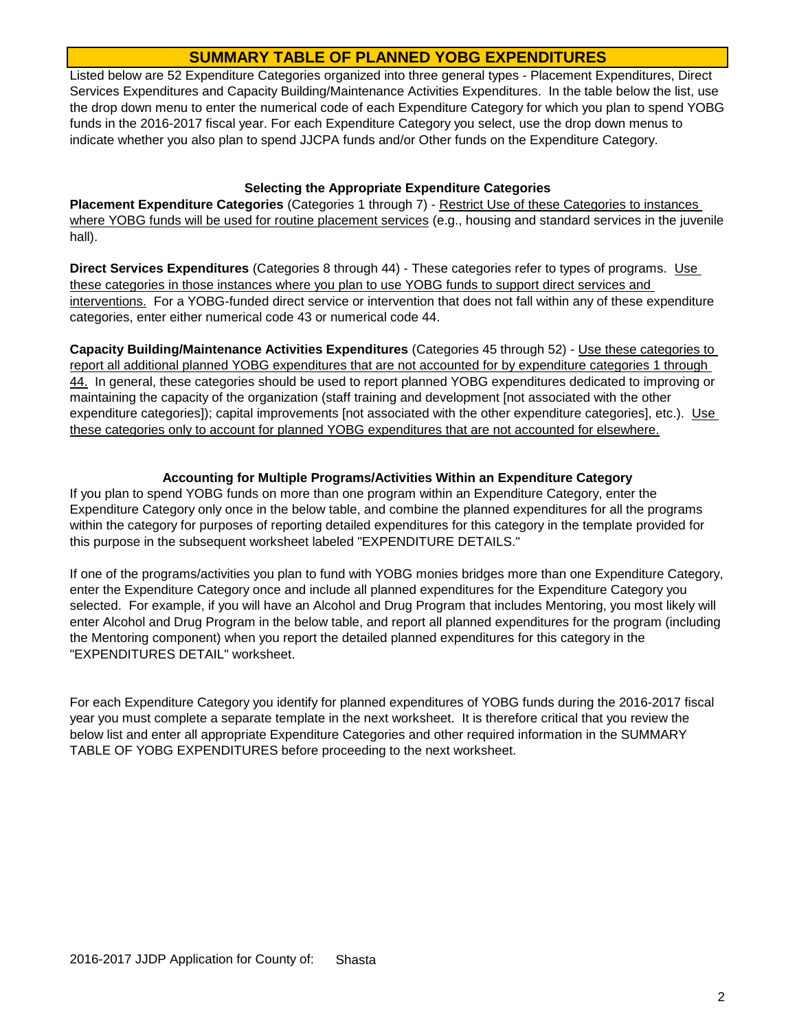# **SUMMARY TABLE OF PLANNED YOBG EXPENDITURES**

Listed below are 52 Expenditure Categories organized into three general types - Placement Expenditures, Direct Services Expenditures and Capacity Building/Maintenance Activities Expenditures. In the table below the list, use the drop down menu to enter the numerical code of each Expenditure Category for which you plan to spend YOBG funds in the 2016-2017 fiscal year. For each Expenditure Category you select, use the drop down menus to indicate whether you also plan to spend JJCPA funds and/or Other funds on the Expenditure Category.

#### **Selecting the Appropriate Expenditure Categories**

**Placement Expenditure Categories** (Categories 1 through 7) - Restrict Use of these Categories to instances where YOBG funds will be used for routine placement services (e.g., housing and standard services in the juvenile hall).

**Direct Services Expenditures** (Categories 8 through 44) - These categories refer to types of programs. Use these categories in those instances where you plan to use YOBG funds to support direct services and interventions. For a YOBG-funded direct service or intervention that does not fall within any of these expenditure categories, enter either numerical code 43 or numerical code 44.

**Capacity Building/Maintenance Activities Expenditures** (Categories 45 through 52) - Use these categories to report all additional planned YOBG expenditures that are not accounted for by expenditure categories 1 through 44. In general, these categories should be used to report planned YOBG expenditures dedicated to improving or maintaining the capacity of the organization (staff training and development [not associated with the other expenditure categories]); capital improvements [not associated with the other expenditure categories], etc.). Use these categories only to account for planned YOBG expenditures that are not accounted for elsewhere.

#### **Accounting for Multiple Programs/Activities Within an Expenditure Category**

If you plan to spend YOBG funds on more than one program within an Expenditure Category, enter the Expenditure Category only once in the below table, and combine the planned expenditures for all the programs within the category for purposes of reporting detailed expenditures for this category in the template provided for this purpose in the subsequent worksheet labeled "EXPENDITURE DETAILS."

If one of the programs/activities you plan to fund with YOBG monies bridges more than one Expenditure Category, enter the Expenditure Category once and include all planned expenditures for the Expenditure Category you selected. For example, if you will have an Alcohol and Drug Program that includes Mentoring, you most likely will enter Alcohol and Drug Program in the below table, and report all planned expenditures for the program (including the Mentoring component) when you report the detailed planned expenditures for this category in the "EXPENDITURES DETAIL" worksheet.

For each Expenditure Category you identify for planned expenditures of YOBG funds during the 2016-2017 fiscal year you must complete a separate template in the next worksheet. It is therefore critical that you review the below list and enter all appropriate Expenditure Categories and other required information in the SUMMARY TABLE OF YOBG EXPENDITURES before proceeding to the next worksheet.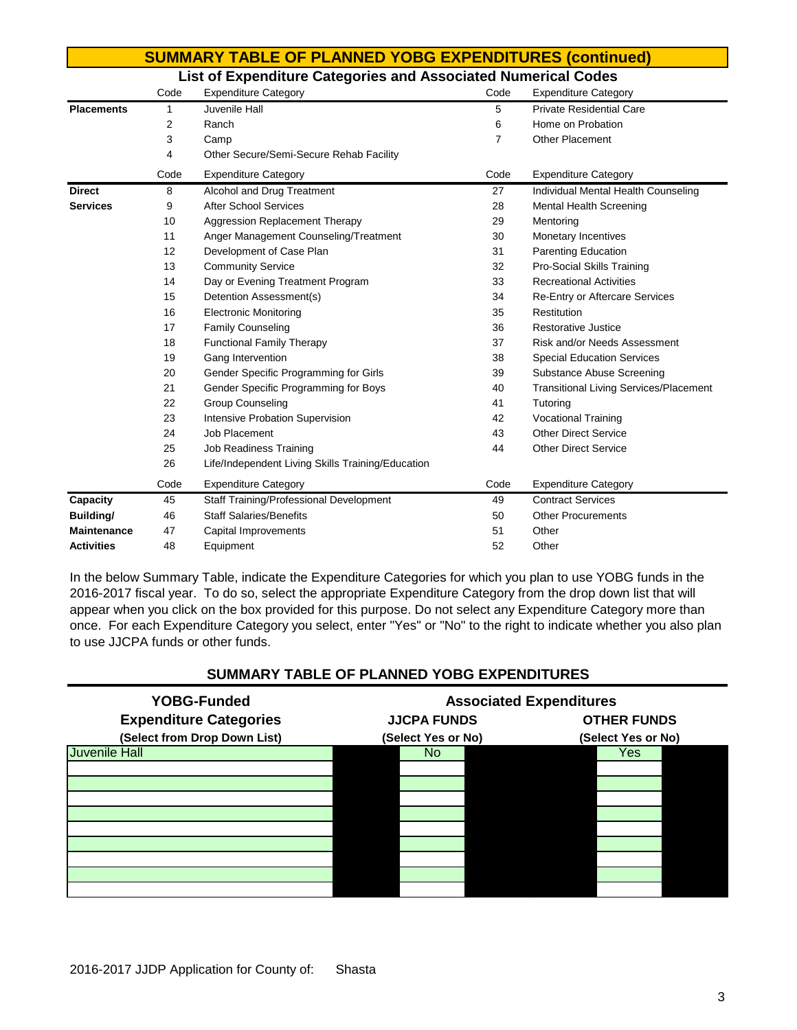|                    |      | <b>SUMMARY TABLE OF PLANNED YOBG EXPENDITURES (continued)</b> |      |                                               |
|--------------------|------|---------------------------------------------------------------|------|-----------------------------------------------|
|                    |      | List of Expenditure Categories and Associated Numerical Codes |      |                                               |
|                    | Code | <b>Expenditure Category</b>                                   | Code | <b>Expenditure Category</b>                   |
| <b>Placements</b>  | 1    | Juvenile Hall                                                 | 5    | <b>Private Residential Care</b>               |
|                    | 2    | Ranch                                                         | 6    | Home on Probation                             |
|                    | 3    | Camp                                                          | 7    | <b>Other Placement</b>                        |
|                    | 4    | Other Secure/Semi-Secure Rehab Facility                       |      |                                               |
|                    | Code | <b>Expenditure Category</b>                                   | Code | <b>Expenditure Category</b>                   |
| <b>Direct</b>      | 8    | Alcohol and Drug Treatment                                    | 27   | Individual Mental Health Counseling           |
| <b>Services</b>    | 9    | <b>After School Services</b>                                  | 28   | Mental Health Screening                       |
|                    | 10   | <b>Aggression Replacement Therapy</b>                         | 29   | Mentoring                                     |
|                    | 11   | Anger Management Counseling/Treatment                         | 30   | Monetary Incentives                           |
|                    | 12   | Development of Case Plan                                      | 31   | <b>Parenting Education</b>                    |
|                    | 13   | <b>Community Service</b>                                      | 32   | Pro-Social Skills Training                    |
|                    | 14   | Day or Evening Treatment Program                              | 33   | <b>Recreational Activities</b>                |
|                    | 15   | Detention Assessment(s)                                       | 34   | <b>Re-Entry or Aftercare Services</b>         |
|                    | 16   | <b>Electronic Monitoring</b>                                  | 35   | Restitution                                   |
|                    | 17   | <b>Family Counseling</b>                                      | 36   | Restorative Justice                           |
|                    | 18   | <b>Functional Family Therapy</b>                              | 37   | Risk and/or Needs Assessment                  |
|                    | 19   | Gang Intervention                                             | 38   | <b>Special Education Services</b>             |
|                    | 20   | Gender Specific Programming for Girls                         | 39   | Substance Abuse Screening                     |
|                    | 21   | Gender Specific Programming for Boys                          | 40   | <b>Transitional Living Services/Placement</b> |
|                    | 22   | <b>Group Counseling</b>                                       | 41   | Tutoring                                      |
|                    | 23   | Intensive Probation Supervision                               | 42   | <b>Vocational Training</b>                    |
|                    | 24   | Job Placement                                                 | 43   | <b>Other Direct Service</b>                   |
|                    | 25   | <b>Job Readiness Training</b>                                 | 44   | <b>Other Direct Service</b>                   |
|                    | 26   | Life/Independent Living Skills Training/Education             |      |                                               |
|                    | Code | <b>Expenditure Category</b>                                   | Code | <b>Expenditure Category</b>                   |
| Capacity           | 45   | Staff Training/Professional Development                       | 49   | <b>Contract Services</b>                      |
| Building/          | 46   | <b>Staff Salaries/Benefits</b>                                | 50   | <b>Other Procurements</b>                     |
| <b>Maintenance</b> | 47   | Capital Improvements                                          | 51   | Other                                         |
| <b>Activities</b>  | 48   | Equipment                                                     | 52   | Other                                         |

In the below Summary Table, indicate the Expenditure Categories for which you plan to use YOBG funds in the 2016-2017 fiscal year. To do so, select the appropriate Expenditure Category from the drop down list that will appear when you click on the box provided for this purpose. Do not select any Expenditure Category more than once. For each Expenditure Category you select, enter "Yes" or "No" to the right to indicate whether you also plan to use JJCPA funds or other funds.

### **SUMMARY TABLE OF PLANNED YOBG EXPENDITURES**

| <b>YOBG-Funded</b>            |                    | <b>Associated Expenditures</b> |  |  |  |  |  |
|-------------------------------|--------------------|--------------------------------|--|--|--|--|--|
| <b>Expenditure Categories</b> | <b>JJCPA FUNDS</b> | <b>OTHER FUNDS</b>             |  |  |  |  |  |
| (Select from Drop Down List)  | (Select Yes or No) | (Select Yes or No)             |  |  |  |  |  |
| <b>Juvenile Hall</b>          | No.                | Yes                            |  |  |  |  |  |
|                               |                    |                                |  |  |  |  |  |
|                               |                    |                                |  |  |  |  |  |
|                               |                    |                                |  |  |  |  |  |
|                               |                    |                                |  |  |  |  |  |
|                               |                    |                                |  |  |  |  |  |
|                               |                    |                                |  |  |  |  |  |
|                               |                    |                                |  |  |  |  |  |
|                               |                    |                                |  |  |  |  |  |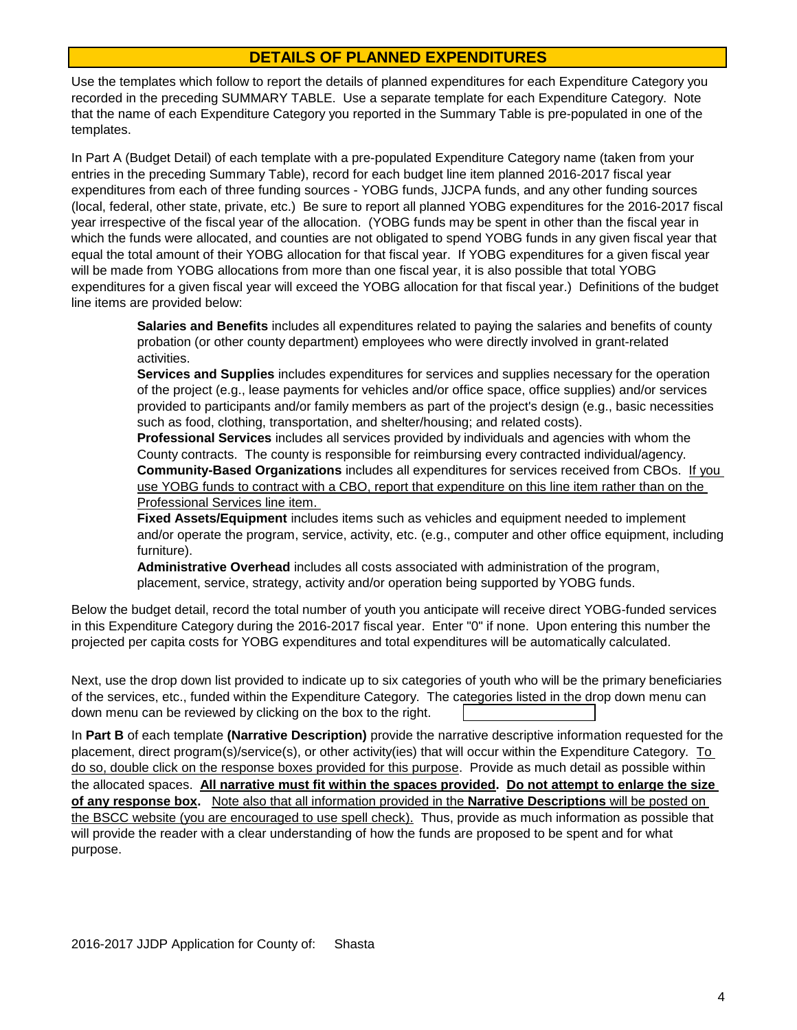# **DETAILS OF PLANNED EXPENDITURES**

Use the templates which follow to report the details of planned expenditures for each Expenditure Category you recorded in the preceding SUMMARY TABLE. Use a separate template for each Expenditure Category. Note that the name of each Expenditure Category you reported in the Summary Table is pre-populated in one of the templates.

In Part A (Budget Detail) of each template with a pre-populated Expenditure Category name (taken from your entries in the preceding Summary Table), record for each budget line item planned 2016-2017 fiscal year expenditures from each of three funding sources - YOBG funds, JJCPA funds, and any other funding sources (local, federal, other state, private, etc.) Be sure to report all planned YOBG expenditures for the 2016-2017 fiscal year irrespective of the fiscal year of the allocation. (YOBG funds may be spent in other than the fiscal year in which the funds were allocated, and counties are not obligated to spend YOBG funds in any given fiscal year that equal the total amount of their YOBG allocation for that fiscal year. If YOBG expenditures for a given fiscal year will be made from YOBG allocations from more than one fiscal year, it is also possible that total YOBG expenditures for a given fiscal year will exceed the YOBG allocation for that fiscal year.) Definitions of the budget line items are provided below:

**Salaries and Benefits** includes all expenditures related to paying the salaries and benefits of county probation (or other county department) employees who were directly involved in grant-related activities.

**Services and Supplies** includes expenditures for services and supplies necessary for the operation of the project (e.g., lease payments for vehicles and/or office space, office supplies) and/or services provided to participants and/or family members as part of the project's design (e.g., basic necessities such as food, clothing, transportation, and shelter/housing; and related costs).

**Community-Based Organizations** includes all expenditures for services received from CBOs. If you use YOBG funds to contract with a CBO, report that expenditure on this line item rather than on the Professional Services line item. **Professional Services** includes all services provided by individuals and agencies with whom the County contracts. The county is responsible for reimbursing every contracted individual/agency.

**Fixed Assets/Equipment** includes items such as vehicles and equipment needed to implement and/or operate the program, service, activity, etc. (e.g., computer and other office equipment, including furniture).

**Administrative Overhead** includes all costs associated with administration of the program, placement, service, strategy, activity and/or operation being supported by YOBG funds.

Below the budget detail, record the total number of youth you anticipate will receive direct YOBG-funded services in this Expenditure Category during the 2016-2017 fiscal year. Enter "0" if none. Upon entering this number the projected per capita costs for YOBG expenditures and total expenditures will be automatically calculated.

down menu can be reviewed by clicking on the box to the right. Next, use the drop down list provided to indicate up to six categories of youth who will be the primary beneficiaries of the services, etc., funded within the Expenditure Category. The categories listed in the drop down menu can

In **Part B** of each template **(Narrative Description)** provide the narrative descriptive information requested for the placement, direct program(s)/service(s), or other activity(ies) that will occur within the Expenditure Category. To do so, double click on the response boxes provided for this purpose. Provide as much detail as possible within the allocated spaces. **All narrative must fit within the spaces provided. Do not attempt to enlarge the size of any response box.** Note also that all information provided in the **Narrative Descriptions** will be posted on the BSCC website (you are encouraged to use spell check). Thus, provide as much information as possible that will provide the reader with a clear understanding of how the funds are proposed to be spent and for what purpose.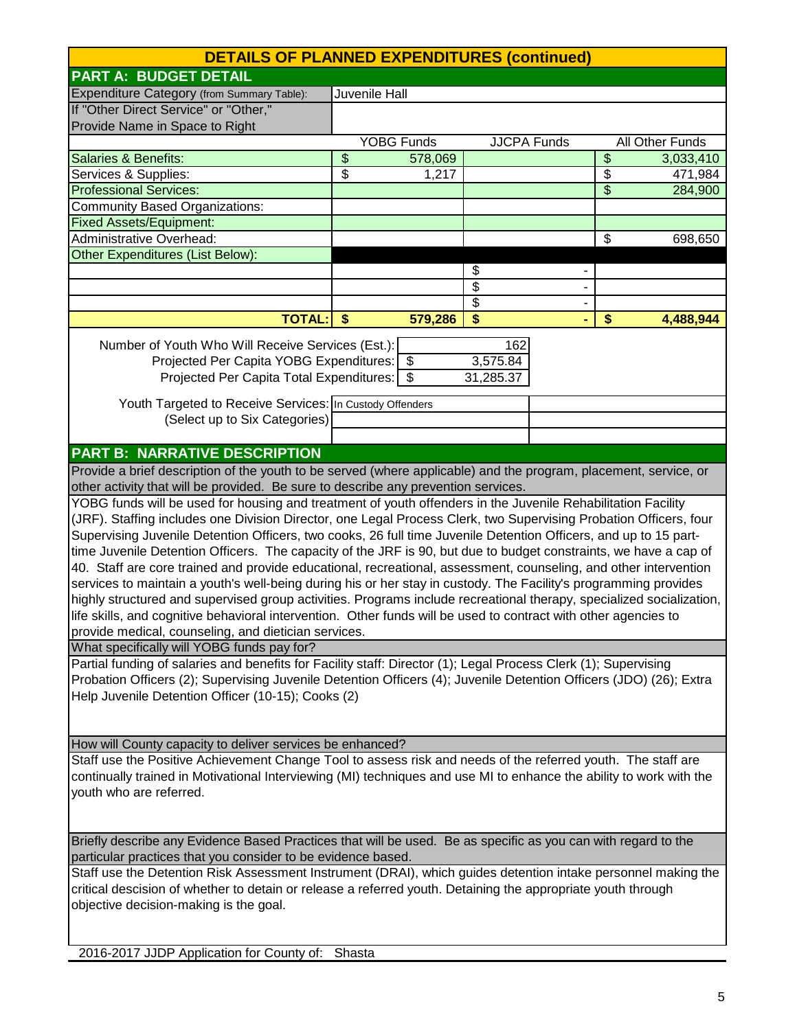| <b>DETAILS OF PLANNED EXPENDITURES (continued)</b>                                                                   |                                                                                                              |                   |                 |                    |                         |                 |
|----------------------------------------------------------------------------------------------------------------------|--------------------------------------------------------------------------------------------------------------|-------------------|-----------------|--------------------|-------------------------|-----------------|
| <b>PART A: BUDGET DETAIL</b>                                                                                         |                                                                                                              |                   |                 |                    |                         |                 |
| Expenditure Category (from Summary Table):                                                                           |                                                                                                              | Juvenile Hall     |                 |                    |                         |                 |
| If "Other Direct Service" or "Other,"                                                                                |                                                                                                              |                   |                 |                    |                         |                 |
| Provide Name in Space to Right                                                                                       |                                                                                                              |                   |                 |                    |                         |                 |
|                                                                                                                      |                                                                                                              | <b>YOBG Funds</b> |                 | <b>JJCPA Funds</b> |                         | All Other Funds |
| Salaries & Benefits:                                                                                                 | \$                                                                                                           | 578,069           |                 |                    | $\overline{\mathbf{e}}$ | 3,033,410       |
| Services & Supplies:                                                                                                 | \$                                                                                                           | 1,217             |                 |                    | \$                      | 471,984         |
| <b>Professional Services:</b>                                                                                        |                                                                                                              |                   |                 |                    | \$                      | 284,900         |
| <b>Community Based Organizations:</b>                                                                                |                                                                                                              |                   |                 |                    |                         |                 |
| <b>Fixed Assets/Equipment:</b>                                                                                       |                                                                                                              |                   |                 |                    |                         |                 |
| <b>Administrative Overhead:</b>                                                                                      |                                                                                                              |                   |                 |                    | \$                      | 698,650         |
| Other Expenditures (List Below):                                                                                     |                                                                                                              |                   |                 |                    |                         |                 |
|                                                                                                                      |                                                                                                              |                   | \$              |                    |                         |                 |
|                                                                                                                      |                                                                                                              |                   | \$              |                    |                         |                 |
|                                                                                                                      |                                                                                                              |                   | $\overline{\$}$ |                    |                         |                 |
| <b>TOTAL:</b>                                                                                                        | $\sqrt[6]{3}$                                                                                                | 579,286           | \$              |                    | \$                      | 4,488,944       |
| Number of Youth Who Will Receive Services (Est.):                                                                    |                                                                                                              |                   | 162             |                    |                         |                 |
| Projected Per Capita YOBG Expenditures: \$                                                                           |                                                                                                              |                   | 3,575.84        |                    |                         |                 |
| Projected Per Capita Total Expenditures: \$                                                                          |                                                                                                              |                   | 31,285.37       |                    |                         |                 |
|                                                                                                                      |                                                                                                              |                   |                 |                    |                         |                 |
| Youth Targeted to Receive Services: In Custody Offenders                                                             |                                                                                                              |                   |                 |                    |                         |                 |
| (Select up to Six Categories)                                                                                        |                                                                                                              |                   |                 |                    |                         |                 |
|                                                                                                                      |                                                                                                              |                   |                 |                    |                         |                 |
| <b>PART B: NARRATIVE DESCRIPTION</b>                                                                                 |                                                                                                              |                   |                 |                    |                         |                 |
| Provide a brief description of the youth to be served (where applicable) and the program, placement, service, or     |                                                                                                              |                   |                 |                    |                         |                 |
| other activity that will be provided. Be sure to describe any prevention services.                                   |                                                                                                              |                   |                 |                    |                         |                 |
| YOBG funds will be used for housing and treatment of youth offenders in the Juvenile Rehabilitation Facility         |                                                                                                              |                   |                 |                    |                         |                 |
| (JRF). Staffing includes one Division Director, one Legal Process Clerk, two Supervising Probation Officers, four    |                                                                                                              |                   |                 |                    |                         |                 |
| Supervising Juvenile Detention Officers, two cooks, 26 full time Juvenile Detention Officers, and up to 15 part-     |                                                                                                              |                   |                 |                    |                         |                 |
| time Juvenile Detention Officers. The capacity of the JRF is 90, but due to budget constraints, we have a cap of     |                                                                                                              |                   |                 |                    |                         |                 |
| 40. Staff are core trained and provide educational, recreational, assessment, counseling, and other intervention     |                                                                                                              |                   |                 |                    |                         |                 |
| services to maintain a youth's well-being during his or her stay in custody. The Facility's programming provides     |                                                                                                              |                   |                 |                    |                         |                 |
| highly structured and supervised group activities. Programs include recreational therapy, specialized socialization, |                                                                                                              |                   |                 |                    |                         |                 |
| life skills, and cognitive behavioral intervention. Other funds will be used to contract with other agencies to      |                                                                                                              |                   |                 |                    |                         |                 |
| provide medical, counseling, and dietician services.                                                                 |                                                                                                              |                   |                 |                    |                         |                 |
| What specifically will YOBG funds pay for?                                                                           |                                                                                                              |                   |                 |                    |                         |                 |
| Partial funding of salaries and benefits for Facility staff: Director (1); Legal Process Clerk (1); Supervising      |                                                                                                              |                   |                 |                    |                         |                 |
| Probation Officers (2); Supervising Juvenile Detention Officers (4); Juvenile Detention Officers (JDO) (26); Extra   |                                                                                                              |                   |                 |                    |                         |                 |
| Help Juvenile Detention Officer (10-15); Cooks (2)                                                                   |                                                                                                              |                   |                 |                    |                         |                 |
|                                                                                                                      |                                                                                                              |                   |                 |                    |                         |                 |
|                                                                                                                      |                                                                                                              |                   |                 |                    |                         |                 |
| How will County capacity to deliver services be enhanced?                                                            |                                                                                                              |                   |                 |                    |                         |                 |
| Staff use the Positive Achievement Change Tool to assess risk and needs of the referred youth. The staff are         |                                                                                                              |                   |                 |                    |                         |                 |
| continually trained in Motivational Interviewing (MI) techniques and use MI to enhance the ability to work with the  |                                                                                                              |                   |                 |                    |                         |                 |
| youth who are referred.                                                                                              |                                                                                                              |                   |                 |                    |                         |                 |
|                                                                                                                      |                                                                                                              |                   |                 |                    |                         |                 |
|                                                                                                                      |                                                                                                              |                   |                 |                    |                         |                 |
| Briefly describe any Evidence Based Practices that will be used. Be as specific as you can with regard to the        |                                                                                                              |                   |                 |                    |                         |                 |
| particular practices that you consider to be evidence based.                                                         |                                                                                                              |                   |                 |                    |                         |                 |
| Staff use the Detention Risk Assessment Instrument (DRAI), which guides detention intake personnel making the        |                                                                                                              |                   |                 |                    |                         |                 |
|                                                                                                                      | critical descision of whether to detain or release a referred youth. Detaining the appropriate youth through |                   |                 |                    |                         |                 |
| objective decision-making is the goal.                                                                               |                                                                                                              |                   |                 |                    |                         |                 |
|                                                                                                                      |                                                                                                              |                   |                 |                    |                         |                 |
|                                                                                                                      |                                                                                                              |                   |                 |                    |                         |                 |
| 2016-2017 JJDP Application for County of: Shasta                                                                     |                                                                                                              |                   |                 |                    |                         |                 |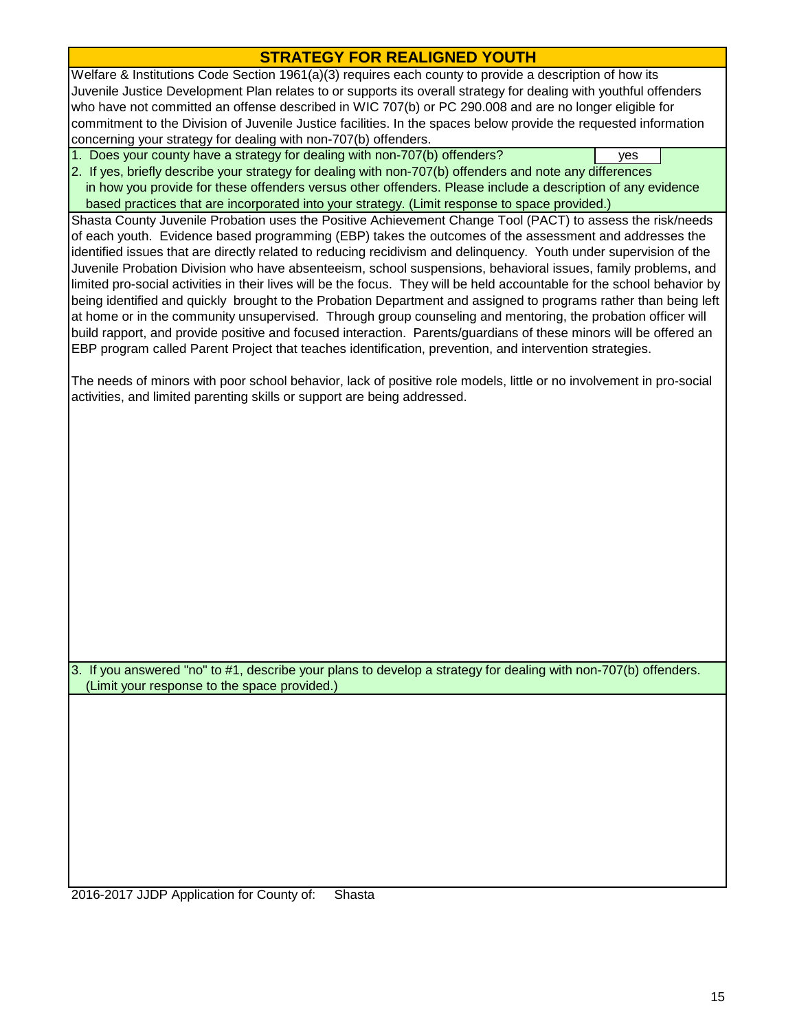# **STRATEGY FOR REALIGNED YOUTH**

Welfare & Institutions Code Section 1961(a)(3) requires each county to provide a description of how its Juvenile Justice Development Plan relates to or supports its overall strategy for dealing with youthful offenders who have not committed an offense described in WIC 707(b) or PC 290.008 and are no longer eligible for commitment to the Division of Juvenile Justice facilities. In the spaces below provide the requested information concerning your strategy for dealing with non-707(b) offenders.

1. Does your county have a strategy for dealing with non-707(b) offenders?

 based practices that are incorporated into your strategy. (Limit response to space provided.) 2. If yes, briefly describe your strategy for dealing with non-707(b) offenders and note any differences in how you provide for these offenders versus other offenders. Please include a description of any evidence

Shasta County Juvenile Probation uses the Positive Achievement Change Tool (PACT) to assess the risk/needs of each youth. Evidence based programming (EBP) takes the outcomes of the assessment and addresses the identified issues that are directly related to reducing recidivism and delinquency. Youth under supervision of the Juvenile Probation Division who have absenteeism, school suspensions, behavioral issues, family problems, and limited pro-social activities in their lives will be the focus. They will be held accountable for the school behavior by being identified and quickly brought to the Probation Department and assigned to programs rather than being left at home or in the community unsupervised. Through group counseling and mentoring, the probation officer will build rapport, and provide positive and focused interaction. Parents/guardians of these minors will be offered an EBP program called Parent Project that teaches identification, prevention, and intervention strategies.

The needs of minors with poor school behavior, lack of positive role models, little or no involvement in pro-social activities, and limited parenting skills or support are being addressed.

 (Limit your response to the space provided.) 3. If you answered "no" to #1, describe your plans to develop a strategy for dealing with non-707(b) offenders.